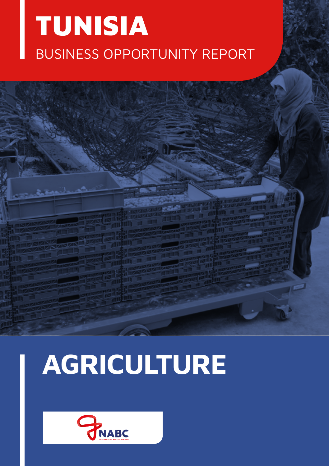## TUNISIA BUSINESS OPPORTUNITY REPORT

# **AGRICULTURE**

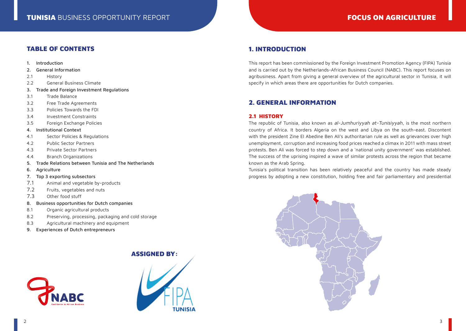## TABLE OF CONTENTS

- 1. Introduction
- 2. General Information
- 2.1 History
- 2.2 General Business Climate
- 3. Trade and Foreign Investment Regulations
- 3.1 Trade Balance
- 3.2 Free Trade Agreements
- 3.3 Policies Towards the FDI
- 3.4 Investment Constraints
- 3.5 Foreign Exchange Policies
- 4. Institutional Context
- 4.1 Sector Policies & Regulations
- 4.2 Public Sector Partners
- 4.3 Private Sector Partners
- 4.4 Branch Organizations
- 5. Trade Relations between Tunisia and The Netherlands
- 6. Agriculture
- 7. Top 3 exporting subsectors
- 7.1 Animal and vegetable by-products
- 7.2 Fruits, vegetables and nuts
- 7.3 Other food stuff
- 8. Business opportunities for Dutch companies
- 8.1 Organic agricultural products
- 8.2 Preserving, processing, packaging and cold storage
- 8.3 Agricultural machinery and equipment
- 9. Experiences of Dutch entrepreneurs

## ASSIGNED BY:





## 1. INTRODUCTION

This report has been commissioned by the Foreign Investment Promotion Agency (FIPA) Tunisia and is carried out by the Netherlands-African Business Council (NABC). This report focuses on agribusiness. Apart from giving a general overview of the agricultural sector in Tunisia, it will specify in which areas there are opportunities for Dutch companies.

## 2. GENERAL INFORMATION

## 2.1 HISTORY

The republic of Tunisia, also known as al-Jumhuriyyah at-Tunisiyyah, is the most northern country of Africa. It borders Algeria on the west and Libya on the south-east. Discontent with the president Zine El Abedine Ben Ali's authoritarian rule as well as grievances over high unemployment, corruption and increasing food prices reached a climax in 2011 with mass street protests. Ben Ali was forced to step down and a 'national unity government' was established. The success of the uprising inspired a wave of similar protests across the region that became known as the Arab Spring.

Tunisia's political transition has been relatively peaceful and the country has made steady progress by adopting a new constitution, holding free and fair parliamentary and presidential

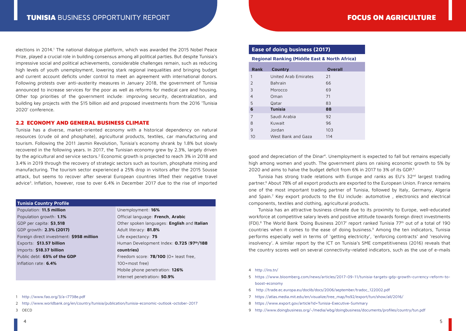elections in 2014.<sup>1</sup> The national dialogue platform, which was awarded the 2015 Nobel Peace Prize, played a crucial role in building consensus among all political parties. But despite Tunisia's impressive social and political achievements, considerable challenges remain, such as reducing high levels of youth unemployment, lowering stark regional inequalities and bringing budget and current account deficits under control to meet an agreement with international donors. Following protests over anti-austerity measures in January 2018, the government of Tunisia announced to increase services for the poor as well as reforms for medical care and housing. Other top priorities of the government include: improving security, decentralization, and building key projects with the \$15 billion aid and proposed investments from the 2016 'Tunisia 2020' conference.

## 2.2 ECONOMY AND GENERAL BUSINESS CLIMATE

Tunisia has a diverse, market-oriented economy with a historical dependency on natural resources (crude oil and phosphate), agricultural products, textiles, car manufacturing and tourism. Following the 2011 Jasmin Revolution, Tunisia's economy shrank by 1.8% but slowly recovered in the following years. In 2017, the Tunisian economy grew by 2.3%, largely driven by the agricultural and service sectors.<sup>2</sup> Economic growth is projected to reach 3% in 2018 and 3.4% in 2019 through the recovery of strategic sectors such as tourism, phosphate mining and manufacturing. The tourism sector experienced a 25% drop in visitors after the 2015 Sousse attack, but seems to recover after several European countries lifted their negative travel advice<sup>3</sup>. Inflation, however, rose to over 6.4% in December 2017 due to the rise of imported

#### **Tunisia Country Profile**

| Population: 11.5 million                 | Unemploymer     |
|------------------------------------------|-----------------|
| Population growth: 1.1%                  | Official langua |
| GDP per capita: \$3,518                  | Other spoken    |
| GDP growth: 2.3% (2017)                  | Adult literacy: |
| Foreign direct investment: \$958 million | Life expectand  |
| Exports: \$13.57 billion                 | Human Develo    |
| Imports: \$18.37 billion                 | countries)      |
| Public debt: 65% of the GDP              | Freedom score   |
| Inflation rate: $6.4\%$                  | 100=most fre    |
|                                          | Mobile phone    |

Unemployment: **16% gge: French, Arabic** languages: **English** and Italian Adult literacy: **81.8%** cy: **75** Human Development Index: **0.725** (**97th/188**  e: **78/100** (0= least free, 100=most free) Mobile phone penetration: **126%**

Internet penetration**: 50.9%**

1 <http://www.fao.org/3/a-i7738e.pdf>

2 <http://www.worldbank.org/en/country/tunisia/publication/tunisia-economic-outlook-october-2017>

3 OECD

## **Ease of doing business (2017)**

**Regional Ranking (Middle East & North Africa)**

| <b>Rank</b>    | Country              | <b>Overall</b> |
|----------------|----------------------|----------------|
| 1              | United Arab Emirates | 21             |
| $\mathcal{P}$  | Bahrain              | 66             |
| 3              | Morocco              | 69             |
| $\overline{4}$ | Oman                 | 71             |
| 5              | Qatar                | 83             |
| 6              | <b>Tunisia</b>       | 88             |
| 7              | Saudi Arabia         | 92             |
| 8              | Kuwait               | 96             |
| 9              | Jordan               | 103            |
| 10             | West Bank and Gaza   | 114            |

good and depreciation of the Dinar4. Unemployment is expected to fall but remains especially high among women and youth. The government plans on raising economic growth to 5% by 2020 and aims to halve the budget deficit from 6% in 2017 to 3% of its GDP.<sup>5</sup>

Tunisia has strong trade relations with Europe and ranks as  $EU's$  32 $<sup>nd</sup>$  largest trading</sup> partner.6 About 78% of all export products are exported to the European Union. France remains one of the most important trading partner of Tunisia, followed by Italy, Germany, Algeria and Spain.<sup>7</sup> Key export products to the EU include: automotive, electronics and electrical components, textiles and clothing, agricultural products.

Tunisia has an attractive business climate due to its proximity to Europe, well-educated workforce at competitive salary levels and positive attitude towards foreign direct investments (FDI).<sup>8</sup> The World Bank 'Doing Business 2017' report ranked Tunisia 77<sup>th</sup> out of a total of 190 countries when it comes to the ease of doing business.9 Among the ten indicators, Tunisia performs especially well in terms of 'getting electricity', 'enforcing contracts' and 'resolving insolvency'. A similar report by the ICT on Tunisia's SME competitiveness (2016) reveals that the country scores well on several connectivity-related indicators, such as the use of e-mails

#### 4 <http://ins.tn/>

- 5 [https://www.bloomberg.com/news/articles/2017-09-11/tunisia-targets-gdp-growth-currency-reform-to](https://www.bloomberg.com/news/articles/2017-09-11/tunisia-targets-gdp-growth-currency-reform-to-boost-economy)[boost-economy](https://www.bloomberg.com/news/articles/2017-09-11/tunisia-targets-gdp-growth-currency-reform-to-boost-economy)
- 6 [http://trade.ec.europa.eu/doclib/docs/2006/september/tradoc\\_122002.pdf](http://trade.ec.europa.eu/doclib/docs/2006/september/tradoc_122002.pdf)
- 7 [https://atlas.media.mit.edu/en/visualize/tree\\_map/hs92/export/tun/show/all/2016/](https://atlas.media.mit.edu/en/visualize/tree_map/hs92/export/tun/show/all/2016/)
- 8 <https://www.export.gov/article?id=Tunisia-Executive-Summary>
- 9 <http://www.doingbusiness.org/~/media/wbg/doingbusiness/documents/profiles/country/tun.pdf>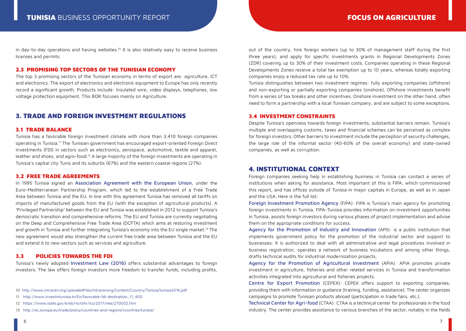in day-to-day operations and having websites.<sup>10</sup> It is also relatively easy to receive business licenses and permits.

## 2.3 PROMISING TOP SECTORS OF THE TUNISIAN ECONOMY

The top 3 promising sectors of the Tunisian economy in terms of export are: agriculture, ICT and electronics. The export of electronics and electronic equipment to Europe has only recently record a significant growth. Products include: Insulated wire, video displays, telephones, low voltage protection equipment. This BOR focuses mainly on Agriculture.

## 3. TRADE AND FOREIGN INVESTMENT REGULATIONS

## 3.1 TRADE BALANCE

Tunisia has a favorable foreign investment climate with more than 3,410 foreign companies operating in Tunisia.11 The Tunisian government has encouraged export-oriented Foreign Direct Investments (FDI) in sectors such as electronics, aerospace, automotive, textile and apparel, leather and shoes, and agro-food.12 A large majority of the foreign investments are operating in Tunisia's capital city Tunis and its suburbs (67%) and the eastern coastal regions (27%).

#### 3.2 FREE TRADE AGREEMENTS

In 1995 Tunisia signed an [Association Agreement with the European Union](http://trade.ec.europa.eu/doclib/docs/2006/march/tradoc_127986.pdf), under the Euro-Mediterranean Partnership Program, which led to the establishment of a Free Trade Area between Tunisia and the EU. In line with this agreement Tunisia has removed all tariffs on imports of manufactured goods from the EU (with the exception of agricultural products). A 'Privileged Partnership' between the EU and Tunisia was established in 2012 to support Tunisia's democratic transition and comprehensive reforms. The EU and Tunisia are currently negotiating on the Deep and Comprehensive Free Trade Area (DCFTA) which aims at restoring investment and growth in Tunisia and further integrating Tunisia's economy into the EU single market.<sup>13</sup> The new agreement would also strengthen the current free trade area between Tunisia and the EU and extend it to new sectors such as services and agriculture.

## 3.3 POLICIES TOWARDS THE FDI

Tunisia's newly adopted [Investment Law \(2016\)](http://www.investintunisia.tn/Fr/upload/ang-nv_loi_sur_investissement-1476280259.pdf) offers substantial advantages to foreign investors. The law offers foreign investors more freedom to transfer funds, including profits,

- 10 <http://www.intracen.org/uploadedFiles/intracenorg/Content/Country/Tunisia/tunisia2016.pdf>
- 11 [http://www.investintunisia.tn/En/favorable-fdi-destination\\_11\\_400](http://www.investintunisia.tn/En/favorable-fdi-destination_11_400)
- 12 <https://www.state.gov/e/eb/rls/othr/ics/2017/nea/270002.htm>
- 13 <http://ec.europa.eu/trade/policy/countries-and-regions/countries/tunisia/>

out of the country, hire foreign workers (up to 30% of management staff during the first three years), and apply for specific investments grants in Regional Developments Zones (ZDR) covering up to 30% of their investment costs. Companies operating in these Regional Developments Zones receive a total tax exemption up to 10 years, whereas totally exporting companies enjoy a reduced tax rate up to 10%.

Tunisia distinguishes between two investment regimes: fully exporting companies (offshore) and non-exporting or partially exporting companies (onshore). Offshore investments benefit from a series of tax breaks and other incentives. Onshore investment on the other hand, often need to form a partnership with a local Tunisian company, and are subject to some exceptions.

#### 3.4 INVESTMENT CONSTRAINTS

Despite Tunisia's openness towards foreign investments, substantial barriers remain. Tunisia's multiple and overlapping customs, taxes and financial schemes can be perceived as complex for foreign investors. Other barriers to investment include the perception of security challenges, the large role of the informal sector (40-60% of the overall economy) and state-owned companies, as well as corruption.

## 4. INSTITUTIONAL CONTEXT

Foreign companies seeking help in establishing business in Tunisia can contact a series of institutions when asking for assistance. Most important of this is FIPA, which commissioned this report, and has offices outside of Tunisia in major capitals in Europe, as well as in Japan and the USA. Here is the full list:

[Foreign Investment Promotion Agency](http://www.investintunisia.tn/En/home_46_33) (FIPA): FIPA is Tunisia's main agency for promoting foreign investments in Tunisia. FIPA-Tunisia provides information on investment opportunities in Tunisia, assists foreign investors during various phases of project implementation and advise them on the appropriate conditions for success.

[Agency for the Promotion of Industry and Innovation](http://www.tunisieindustrie.nat.tn) (APII): is a public institution that implements government policy for the promotion of the industrial sector and support to businesses. It is authorized to deal with all administrative and legal procedures involved in business registration, operates a network of business incubators and among other things, drafts technical audits for industrial modernization projects.

[Agency for the Promotion of Agricultural Investment](http://www.apia.com.tn/) (APIA): APIA promotes private investment in agriculture, fisheries and other related services in Tunisia and transformation activities integrated into agricultural and fisheries projects.

[Centre for Export Promotion](http://www.cepex.nat.tn) (CEPEX): CEPEX offers support to exporting companies, providing them with information or guidance (training, funding, assistance). The center organizes campaigns to promote Tunisian products abroad (participation in trade fairs, etc.).

[Technical Center for Agri-food](http://www.ctaa.com.tn/en/home/) (CTAA): CTAA is a technical center for professionals in the food industry. The center provides assistance to various branches of the sector, notably in the fields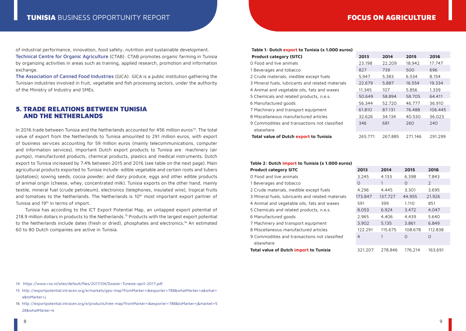of industrial performance, innovation, food safety, nutrition and sustainable development. [Technical Centre for Organic Agriculture](http://www.ctab.nat.tn) (CTAB): CTAB promotes organic farming in Tunisia by organizing activities in areas such as training, applied research, promotion and information exchange.

[The Association of Canned Food Industries](http://www.gica.ind.tn/indexen.php) (GICA): GICA is a public institution gathering the Tunisian industries involved in fruit, vegetable and fish processing sectors, under the authority of the Ministry of Industry and SMEs.

## 5. TRADE RELATIONS BETWEEN TUNISIA AND THE NETHERLANDS

In 2016 trade between Tunisia and the Netherlands accounted for 456 million euros14. The total value of export from the Netherlands to Tunisia amounted to 291 million euros, with export of business services accounting for 59 million euros (mainly telecommunications, computer and information services). Important Dutch export products to Tunisia are: machinery (air pumps), manufactured products, chemical products, plastics and medical instruments. Dutch export to Tunisia increased by 7.4% between 2015 and 2016 (see table on the next page). Main agricultural products exported to Tunisia include: edible vegetable and certain roots and tubers (potatoes); sowing seeds; cocoa powder; and dairy produce, eggs and other edible products of animal origin (cheese, whey, concentrated milk). Tunisia exports on the other hand, mainly textile, mineral fuel (crude petroleum), electronics (telephones, insulated wire), tropical fruits and tomatoes to the Netherlands. The Netherlands is 10<sup>th</sup> most important export partner of Tunisia and 19<sup>th</sup> in terms of import.

Tunisia has according to the ICT Export Potential Map, an untapped export potential of 218.9 million dollars in products to the Netherlands.15 Products with the largest export potential to the Netherlands include dates (fresh or dried), phosphates and electronics.<sup>16</sup> An estimated 60 to 80 Dutch companies are active in Tunisia.

| Table 1: Dutch export to Tunisia (x 1.000 euros)  |         |         |         |         |  |  |  |
|---------------------------------------------------|---------|---------|---------|---------|--|--|--|
| <b>Product category (SITC)</b>                    | 2013    | 2014    | 2015    | 2016    |  |  |  |
| O Food and live animals                           | 23.198  | 22.209  | 18.942  | 17.747  |  |  |  |
| 1 Beverages and tobacco                           | 827     | 739     | 500     | 696     |  |  |  |
| 2 Crude materials, inedible except fuels          | 5.947   | 5.383   | 6.534   | 8.154   |  |  |  |
| 3 Mineral fuels, lubricants and related materials | 22.679  | 5.887   | 16.554  | 19.334  |  |  |  |
| 4 Animal and vegetable oils, fats and waxes       | 11.345  | 107     | 5.856   | 1.339   |  |  |  |
| 5 Chemicals and related products, n.e.s.          | 50.649  | 58.894  | 58.705  | 64.411  |  |  |  |
| 6 Manufactured goods                              | 56.344  | 52.720  | 46.777  | 36.910  |  |  |  |
| 7 Machinery and transport equipment               | 61.810  | 87.131  | 76.488  | 106.445 |  |  |  |
| 8 Miscellaneous manufactured articles             | 32.626  | 34.134  | 40.530  | 36.023  |  |  |  |
| 9 Commodities and transactions not classified     | 346     | 681     | 260     | 240     |  |  |  |
| elsewhere                                         |         |         |         |         |  |  |  |
| Total value of Dutch export to Tunisia            | 265.771 | 267.885 | 271.146 | 291.299 |  |  |  |

#### **Table 2: Dutch import to Tunisia (x 1.000 euros)**

| <b>Product category SITC</b>                      | 2013           | 2014    | 2015     | 2016          |
|---------------------------------------------------|----------------|---------|----------|---------------|
| O Food and live animals                           | 3.245          | 4.133   | 6.398    | 7.843         |
| 1 Beverages and tobacco                           | $\Omega$       |         | $\Omega$ | $\mathcal{L}$ |
| 2 Crude materials, inedible except fuels          | 4.296          | 4.445   | 3.301    | 3.695         |
| 3 Mineral fuels, lubricants and related materials | 173.847        | 137.727 | 44.955   | 21.926        |
| 4 Animal and vegetable oils, fats and waxes       | 591            | 399     | 1.110    | 851           |
| 5 Chemicals and related products, n.e.s.          | 8.053          | 6.924   | 3.472    | 4.047         |
| 6 Manufactured goods                              | 2.965          | 4.406   | 4.439    | 5.640         |
| 7 Machinery and transport equipment               | 3.902          | 5.135   | 3.861    | 6.849         |
| 8 Miscellaneous manufactured articles             | 122.291        | 115.675 | 108.678  | 112.838       |
| 9 Commodities and transactions not classified     | $\overline{4}$ |         | $\Omega$ | $\Omega$      |
| elsewhere                                         |                |         |          |               |
| Total value of Dutch import to Tunisia            | 321.207        | 278.846 | 176.214  | 163.691       |

14 <https://www.rvo.nl/sites/default/files/2017/04/Dossier-Tunesie-april-2017.pdf>

- 15 [http://exportpotential.intracen.org/#/markets/geo-map?fromMarker=i&exporter=788&whatMarker=a&what=](http://exportpotential.intracen.org/#/markets/geo-map?fromMarker=i&exporter=788&whatMarker=a&what=a&toMarker=j) [a&toMarker=j](http://exportpotential.intracen.org/#/markets/geo-map?fromMarker=i&exporter=788&whatMarker=a&what=a&toMarker=j)
- 16 [http://exportpotential.intracen.org/#/products/tree-map?fromMarker=i&exporter=788&toMarker=j&market=5](http://exportpotential.intracen.org/#/products/tree-map?fromMarker=i&exporter=788&toMarker=j&market=528&whatMarker=k) [28&whatMarker=k](http://exportpotential.intracen.org/#/products/tree-map?fromMarker=i&exporter=788&toMarker=j&market=528&whatMarker=k)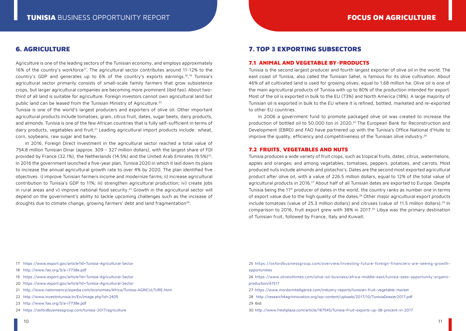## 6. AGRICULTURE

Agriculture is one of the leading sectors of the Tunisian economy, and employs approximately 16% of the country's workforce<sup>17</sup>. The agricultural sector contributes around 11-12% to the country's GDP and generates up to 6% of the country's exports earnings.18, 19 Tunisia's agricultural sector primarily consists of small-scale family farmers that grow subsistence crops, but larger agricultural companies are becoming more prominent (ibid fao). About twothird of all land is suitable for agriculture. Foreign investors cannot own agricultural land but public land can be leased from the Tunisian Ministry of Agriculture.<sup>20</sup>

Tunisia is one of the world's largest producers and exporters of olive oil. Other important agricultural products include tomatoes, grain, citrus fruit, dates, sugar beets, dairy products, and almonds. Tunisia is one of the few African countries that is fully self-sufficient in terms of dairy products, vegetables and fruit.<sup>21</sup> Leading agricultural import products include: wheat, corn, soybeans, raw sugar and barley.

In 2016, Foreign Direct Investment in the agricultural sector reached a total value of 754.8 million Tunisian Dinar (approx. 309 – 327 million dollars), with the largest share of FDI provided by France (32.1%), the Netherlands (14.5%) and the United Arab Emirates (9.5%)<sup>22</sup>. In 2016 the government launched a five-year plan, Tunisia 2020 in which it laid down its plans to increase the annual agricultural growth rate to over 4% by 2020. The plan identified five objectives: i) improve Tunisian farmers income and modernize farms; ii) increase agricultural contribution to Tunisia's GDP to 11%; iii) strengthen agricultural production; iv) create jobs in rural areas and v) improve national food security.<sup>23</sup> Growth in the agricultural sector will depend on the government's ability to tackle upcoming challenges such as the increase of droughts due to climate change, growing farmers' debt and land fragmentation<sup>24</sup>.

## 7. TOP 3 EXPORTING SUBSECTORS

## 7.1 ANIMAL AND VEGETABLE BY-PRODUCTS

Tunisia is the second largest producer and fourth largest exporter of olive oil in the world. The east coast of Tunisia, also called the Tunisian Sahel, is famous for its olive cultivation. About 46% of all cultivated land is used for growing olives, equal to 1.68 million ha. Olive oil is one of the main agricultural products of Tunisia with up to 80% of the production intended for export. Most of the oil is exported in bulk to the EU (73%) and North America (18%). A large majority of Tunisian oil is exported in bulk to the EU where it is refined, bottled, marketed and re-exported to other EU countries.

In 2006 a government fund to promote packaged olive oil was created to increase the production of bottled oil to 50,000 ton in 2020.25 The European Bank for Reconstruction and Development (EBRD) and FAO have partnered up with the Tunisia's Office National d'Huile to improve the quality, efficiency and competitiveness of the Tunisian olive industry.<sup>26</sup>

## 7.2 FRUITS, VEGETABLES AND NUTS

Tunisia produces a wide variety of fruit crops, such as tropical fruits, dates, citrus, watermelons, apples and oranges; and among vegetables, tomatoes, peppers, potatoes, and carrots. Most produced nuts include almonds and pistachio's. Dates are the second most exported agricultural product after olive oil, with a value of 226.5 million dollars, equal to 12% of the total value of agricultural products in 2016.<sup>27</sup> About half of all Tunisian dates are exported to Europe. Despite Tunisia being the 11<sup>th</sup> producer of dates in the world, the country ranks as number one in terms of export value due to the high quality of the dates.28 Other major agricultural export products include tomatoes (value of 25.3 million dollars) and citruses (value of 11.5 million dollars).<sup>29</sup> In comparison to 2016, fruit export grew with 38% in 2017.30 Libya was the primary destination of Tunisian fruit, followed by France, Italy and Kuwait.

- 17 <https://www.export.gov/article?id=Tunisia-Agricultural-Sector>
- 18 <http://www.fao.org/3/a-i7738e.pdf>
- 19 <https://www.export.gov/article?id=Tunisia-Agricultural-Sector>
- 20 <https://www.export.gov/article?id=Tunisia-Agricultural-Sector>
- 21 <http://www.nationsencyclopedia.com/economies/Africa/Tunisia-AGRICULTURE.html>
- 22 <http://www.investintunisia.tn/En/image.php?id=2405>
- 23 <http://www.fao.org/3/a-i7738e.pdf>
- 24 <https://oxfordbusinessgroup.com/tunisia-2017/agriculture>
- 25 [https://oxfordbusinessgroup.com/overview/investing-future-foreign-financiers-are-seeing-growth](https://oxfordbusinessgroup.com/overview/investing-future-foreign-financiers-are-seeing-growth-opportunities)[opportunities](https://oxfordbusinessgroup.com/overview/investing-future-foreign-financiers-are-seeing-growth-opportunities)
- 26 [https://www.oliveoiltimes.com/olive-oil-business/africa-middle-east/tunisia-sees-opportunity-organic](https://www.oliveoiltimes.com/olive-oil-business/africa-middle-east/tunisia-sees-opportunity-organic-production/61517)[production/61517](https://www.oliveoiltimes.com/olive-oil-business/africa-middle-east/tunisia-sees-opportunity-organic-production/61517)
- 27 <https://www.mordorintelligence.com/industry-reports/tunisian-fruit-vegetable-market>
- 28 <http://research4agrinnovation.org/wp-content/uploads/2017/10/TunisiaDossier2017.pdf>
- 29 Ibid.
- 30 <http://www.freshplaza.com/article/187545/Tunisia-Fruit-exports-up-38-procent-in-2017>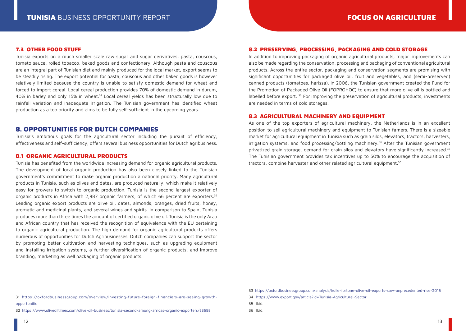### 7.3 OTHER FOOD STUFF

Tunisia exports on a much smaller scale raw sugar and sugar derivatives, pasta, couscous, tomato sauce, rolled tobacco, baked goods and confectionary. Although pasta and couscous are an integral part of Tunisian diet and mainly produced for the local market, export seems to be steadily rising. The export potential for pasta, couscous and other baked goods is however relatively limited because the country is unable to satisfy domestic demand for wheat and forced to import cereal. Local cereal production provides 70% of domestic demand in durum, 40% in barley and only 15% in wheat.<sup>31</sup> Local cereal yields has been structurally low due to rainfall variation and inadequate irrigation. The Tunisian government has identified wheat production as a top priority and aims to be fully self-sufficient in the upcoming years.

## 8. OPPORTUNITIES FOR DUTCH COMPANIES

Tunisia's ambitious goals for the agricultural sector including the pursuit of efficiency, effectiveness and self-sufficiency, offers several business opportunities for Dutch agribusiness.

## 8.1 ORGANIC AGRICULTURAL PRODUCTS

Tunisia has benefited from the worldwide increasing demand for organic agricultural products. The development of local organic production has also been closely linked to the Tunisian government's commitment to make organic production a national priority. Many agricultural products in Tunisia, such as olives and dates, are produced naturally, which make it relatively easy for growers to switch to organic production. Tunisia is the second largest exporter of organic products in Africa with 2,987 organic farmers, of which 66 percent are exporters.<sup>32</sup> Leading organic export products are olive oil, dates, almonds, oranges, dried fruits, honey, aromatic and medicinal plants, and several wines and spirits. In comparison to Spain, Tunisia produces more than three times the amount of certified organic olive oil. Tunisia is the only Arab and African country that has received the recognition of equivalence with the EU pertaining to organic agricultural production. The high demand for organic agricultural products offers numerous of opportunities for Dutch Agribusinesses. Dutch companies can support the sector by promoting better cultivation and harvesting techniques, such as upgrading equipment and installing irrigation systems, a further diversification of organic products, and improve branding, marketing as well packaging of organic products.

#### 8.2 PRESERVING, PROCESSING, PACKAGING AND COLD STORAGE

In addition to improving packaging of organic agricultural products, major improvements can also be made regarding the conservation, processing and packaging of conventional agricultural products. Across the entire sector, packaging and conservation segments are promising with significant opportunities for packaged olive oil, fruit and vegetables, and (semi-preserved) canned products (tomatoes, harissa). In 2006, the Tunisian government created the Fund for the Promotion of Packaged Olive Oil (FOPROHOC) to ensure that more olive oil is bottled and labelled before export. 33 For improving the preservation of agricultural products, investments are needed in terms of cold storages.

### 8.3 AGRICULTURAL MACHINERY AND EQUIPMENT

As one of the top exporters of agricultural machinery, the Netherlands is in an excellent position to sell agricultural machinery and equipment to Tunisian famers. There is a sizeable market for agricultural equipment in Tunisia such as grain silos, elevators, tractors, harvesters, irrigation systems, and food processing/bottling machinery.34 After the Tunisian government privatized grain storage, demand for grain silos and elevators have significantly increased.<sup>35</sup> The Tunisian government provides tax incentives up to 50% to encourage the acquisition of tractors, combine harvester and other related agricultural equipment.36

- 34 <https://www.export.gov/article?id=Tunisia-Agricultural-Sector>
- 35 Ibid.
- 36 Ibid.

31 [https://oxfordbusinessgroup.com/overview/investing-future-foreign-financiers-are-seeing-growth](https://oxfordbusinessgroup.com/overview/investing-future-foreign-financiers-are-seeing-growth-opportunities)[opportunitie](https://oxfordbusinessgroup.com/overview/investing-future-foreign-financiers-are-seeing-growth-opportunities)

32 <https://www.oliveoiltimes.com/olive-oil-business/tunisia-second-among-africas-organic-exporters/53658>

<sup>33</sup> <https://oxfordbusinessgroup.com/analysis/huile-fortune-olive-oil-exports-saw-unprecedented-rise-2015>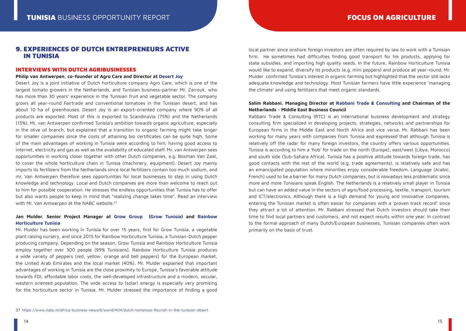## 9. EXPERIENCES OF DUTCH ENTREPRENEURS ACTIVE IN TUNISIA

#### INTERVIEWS WITH DUTCH AGRIBUSINESSES

#### **Philip van Antwerpen, co-founder of Agro Care and Director at [Desert Joy](http://www.desertjoy.tn/)**

Desert Joy is a joint initiative of Dutch horticulture company Agro Care, which is one of the largest tomato growers in the Netherlands, and Tunisian business-partner Mr. Zarrouk, who has more than 30 years' experience in the Tunisian fruit and vegetable sector. The company grows all year-round Fairtrade and conventional tomatoes in the Tunisian desert, and has about 10 ha of greenhouses. Desert Joy is an export-oriented company where 90% of all products are exported. Most of this is exported to Scandinavia (75%) and the Netherlands (15%). Mr. van Antwerpen confirmed Tunisia's ambition towards organic agriculture, especially in the olive oil branch, but explained that a transition to organic farming might take longer for smaller companies since the costs of attaining bio certificates can be quite high. Some of the main advantages of working in Tunisia were according to him; having good access to internet, electricity and gas as well as the availability of educated staff. Mr. van Antwerpen sees opportunities in working closer together with other Dutch companies, e.g. Bosman Van Zaal, to cover the whole horticulture chain in Tunisia (machinery, equipment). Desert Joy mainly imports its fertilizers from the Netherlands since local fertilizers contain too much sodium, and mr. Van Antwerpen therefore sees opportunities for local businesses to step in using Dutch knowledge and technology. Local and Dutch companies are more than welcome to reach out to him for possible cooperation. He stresses the endless opportunities that Tunisia has to offer but also wants people to keep in mind that "realizing change takes time". Read an interview with Mr. Van Antwerpen at the NABC website.<sup>37</sup>

## **Jan Mulder, Senior Project Manager at [Grow Group](http://www.growgroup.com/) ([Grow Tunisia](http://www.growtunisia.com/fr/apercu.php)) and [Rainbow](https://www.rainbowgrowers.nl/rainbowgrowers/over-ons/rainbow-horticulture-tunisia/) [Horticulture Tunisia](https://www.rainbowgrowers.nl/rainbowgrowers/over-ons/rainbow-horticulture-tunisia/)**

Mr. Mulder has been working in Tunisia for over 15 years, first for Grow Tunisia, a vegetable plant raising nursery, and since 2015 for Rainbow Horticulture Tunisia, a Tunisian-Dutch pepper producing company. Depending on the season, Grow Tunisia and Rainbow Horticulture Tunisia employ together over 300 people (99% Tunisians). Rainbow Horticulture Tunisia produces a wide variety of peppers (red, yellow, orange and bell peppers) for the European market, the United Arab Emirates and the local market (40%). Mr. Mulder explained that important advantages of working in Tunisia are the close proximity to Europe, Tunisia's favorable attitude towards FDI, affordable labor costs, the well-developed infrastructure and a modern, secular, western oriented population. The wide access to (solar) energy is especially very promising for the horticulture sector in Tunisia. Mr. Mulder stressed the importance of finding a good

local partner since onshore foreign investors are often required by law to work with a Tunisian firm. He sometimes had difficulties finding good transport for his products, applying for state subsidies, and importing high quality seeds. In the future, Rainbow Horticulture Tunisia would like to expand, diversify its products (e.g. mini peppers) and produce all year-round. Mr. Mulder confirmed Tunisia's interest in organic farming but highlighted that the sector still lacks adequate knowledge and technology. Most Tunisian farmers have little experience 'managing the climate' and using fertilizers that meet organic standards.

## **Salim Rabbani, Managing Director at [Rabbani Trade & Consulting](http://www.rabbani.com/) and Chairman of the Netherlands - Middle East Business Council**

Rabbani Trade & Consulting (RTC) is an international business development and strategy consulting firm specialized in developing projects, strategies, networks and partnerships for European firms in the Middle East and North Africa and vice versa. Mr. Rabbani has been working for many years with companies from Tunisia and expressed that although Tunisia is relatively off the radar for many foreign investors, the country offers various opportunities. Tunisia is according to him a 'hub' for trade on the north (Europe), east/west (Libya, Morocco) and south side (Sub-Sahara Africa). Tunisia has a positive attitude towards foreign trade, has good contacts with the rest of the world (e.g. trade agreements), is relatively safe and has an emancipated population where minorities enjoy considerable freedom. Language (Arabic, French) used to be a barrier for many Dutch companies, but is nowadays less problematic since more and more Tunisians speak English. The Netherlands is a relatively small player in Tunisia but can have an added value in the sectors of agro/food processing, textile, transport, tourism and ICT/electronics. Although there is a high demand for young and innovative companies, entering the Tunisian market is often easier for companies with a 'proven track record' since they attract a lot of attention. Mr. Rabbani stressed that Dutch investors should take their time to find local partners and customers, and not expect results within one year. In contrast to the formal approach of many Dutch/European businesses, Tunisian companies often work primarily on the basis of trust.